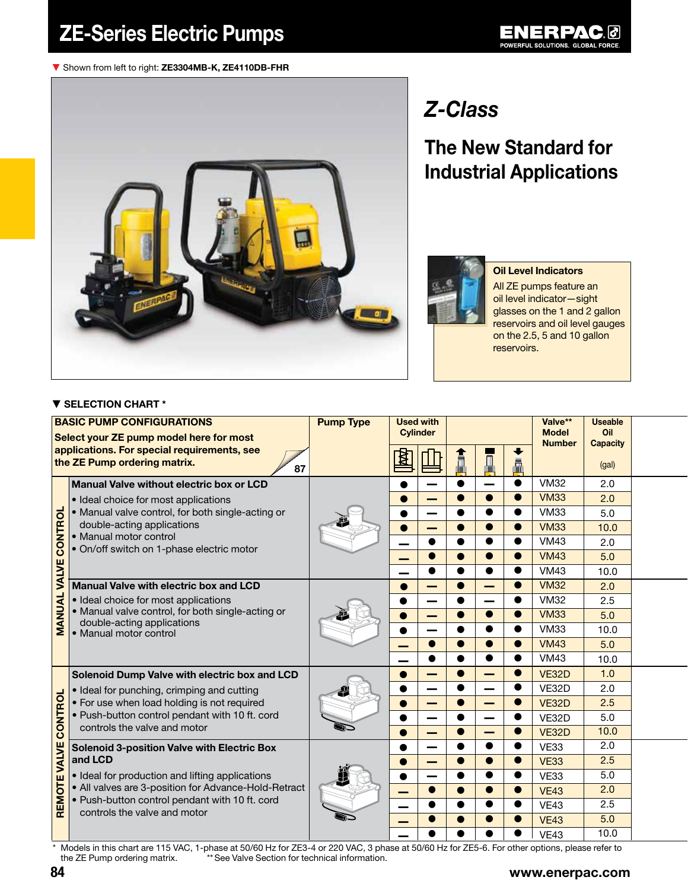#### ▼ Shown from left to right: ZE3304MB-K, ZE4110DB-FHR



## *Z-Class*

## The New Standard for Industrial Applications



#### Oil Level Indicators

All ZE pumps feature an oil level indicator—sight glasses on the 1 and 2 gallon reservoirs and oil level gauges on the 2.5, 5 and 10 gallon reservoirs.

#### ▼ SELECTION CHART \*

|                                      | <b>BASIC PUMP CONFIGURATIONS</b><br>Select your ZE pump model here for most       | <b>Pump Type</b> | <b>Used with</b> | <b>Cylinder</b> |           |           |           | Valve**<br><b>Model</b><br><b>Number</b> | <b>Useable</b><br>Oil<br><b>Capacity</b> |  |
|--------------------------------------|-----------------------------------------------------------------------------------|------------------|------------------|-----------------|-----------|-----------|-----------|------------------------------------------|------------------------------------------|--|
|                                      | applications. For special requirements, see<br>the ZE Pump ordering matrix.<br>87 |                  |                  |                 |           | $\Box$    | Ā         |                                          | (gal)                                    |  |
|                                      | Manual Valve without electric box or LCD                                          |                  |                  |                 |           |           | $\bullet$ | <b>VM32</b>                              | 2.0                                      |  |
|                                      | • Ideal choice for most applications                                              |                  |                  |                 |           |           | $\bullet$ | <b>VM33</b>                              | 2.0                                      |  |
|                                      | • Manual valve control, for both single-acting or                                 |                  |                  |                 | $\bullet$ |           | $\bullet$ | <b>VM33</b>                              | 5.0                                      |  |
| CONTROL                              | double-acting applications                                                        |                  |                  |                 |           |           | $\bullet$ | <b>VM33</b>                              | 10.0                                     |  |
|                                      | • Manual motor control<br>· On/off switch on 1-phase electric motor               |                  |                  |                 |           |           |           | <b>VM43</b>                              | 2.0                                      |  |
|                                      |                                                                                   |                  |                  |                 |           |           | $\bullet$ | <b>VM43</b>                              | 5.0                                      |  |
| VALVE                                |                                                                                   |                  |                  |                 |           | ●         |           | <b>VM43</b>                              | 10.0                                     |  |
|                                      | Manual Valve with electric box and LCD                                            |                  |                  |                 | $\bullet$ |           | $\bullet$ | <b>VM32</b>                              | 2.0                                      |  |
|                                      | • Ideal choice for most applications                                              |                  |                  |                 |           |           |           | <b>VM32</b>                              | 2.5                                      |  |
| MANUAL<br>double-acting applications | • Manual valve control, for both single-acting or                                 |                  |                  |                 | $\bullet$ | $\bullet$ | $\bullet$ | <b>VM33</b>                              | 5.0                                      |  |
|                                      | • Manual motor control                                                            |                  |                  |                 | ●         |           |           | <b>VM33</b>                              | 10.0                                     |  |
|                                      |                                                                                   |                  |                  |                 | $\bullet$ | ●         | $\bullet$ | <b>VM43</b>                              | 5.0                                      |  |
|                                      |                                                                                   |                  |                  |                 |           |           | ●         | <b>VM43</b>                              | 10.0                                     |  |
|                                      | Solenoid Dump Valve with electric box and LCD                                     |                  |                  |                 | $\bullet$ | ╾         | $\bullet$ | <b>VE32D</b>                             | 1.0                                      |  |
|                                      | • Ideal for punching, crimping and cutting                                        |                  |                  |                 |           |           | $\bullet$ | VE32D                                    | 2.0                                      |  |
| CONTROL                              | • For use when load holding is not required                                       |                  |                  |                 |           |           | $\bullet$ | <b>VE32D</b>                             | 2.5                                      |  |
|                                      | . Push-button control pendant with 10 ft. cord                                    |                  |                  |                 | $\bullet$ |           | $\bullet$ | VE32D                                    | 5.0                                      |  |
|                                      | controls the valve and motor                                                      |                  |                  |                 | $\bullet$ |           |           | <b>VE32D</b>                             | 10.0                                     |  |
|                                      | <b>Solenoid 3-position Valve with Electric Box</b>                                |                  |                  |                 | $\bullet$ | ●         | $\bullet$ | <b>VE33</b>                              | 2.0                                      |  |
| VALVE                                | and LCD                                                                           |                  |                  |                 |           |           |           | <b>VE33</b>                              | 2.5                                      |  |
|                                      | • Ideal for production and lifting applications                                   |                  |                  |                 |           |           |           | <b>VE33</b>                              | 5.0                                      |  |
| REMOTE                               | • All valves are 3-position for Advance-Hold-Retract                              |                  |                  |                 |           |           |           | <b>VE43</b>                              | 2.0                                      |  |
|                                      | . Push-button control pendant with 10 ft. cord<br>controls the valve and motor    |                  |                  |                 | $\bullet$ | ●         | $\bullet$ | <b>VE43</b>                              | 2.5                                      |  |
|                                      |                                                                                   |                  |                  |                 |           |           |           | <b>VE43</b>                              | 5.0                                      |  |
|                                      |                                                                                   |                  |                  |                 |           |           |           | <b>VE43</b>                              | 10.0                                     |  |

the ZE Pump ordering matrix. \*\*\* See Valve Section for technical information.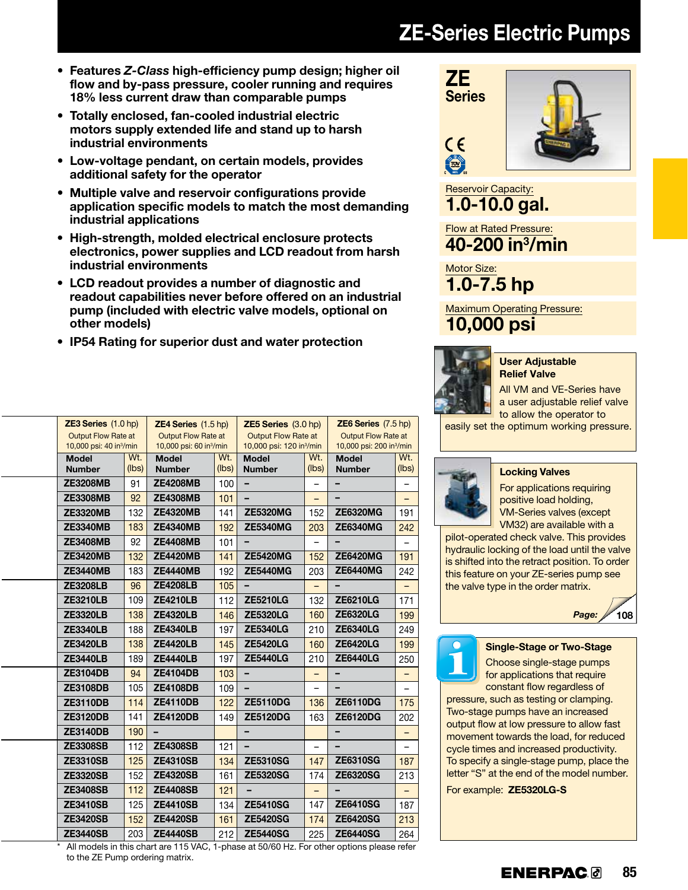# ZE-Series Electric Pumps

- • Features *Z-Class* high-efficiency pump design; higher oil flow and by-pass pressure, cooler running and requires 18% less current draw than comparable pumps
- • Totally enclosed, fan-cooled industrial electric motors supply extended life and stand up to harsh industrial environments
- Low-voltage pendant, on certain models, provides additional safety for the operator
- Multiple valve and reservoir configurations provide application specific models to match the most demanding industrial applications
- High-strength, molded electrical enclosure protects electronics, power supplies and LCD readout from harsh industrial environments
- LCD readout provides a number of diagnostic and readout capabilities never before offered on an industrial pump (included with electric valve models, optional on other models)
- IP54 Rating for superior dust and water protection

|                 |                                                  |                                                                                                                    |                                                                     |                                                                                                              |                                                           | $ZE6$ Series $(7.5$ hp)                                                                                       |                                                                       |  |
|-----------------|--------------------------------------------------|--------------------------------------------------------------------------------------------------------------------|---------------------------------------------------------------------|--------------------------------------------------------------------------------------------------------------|-----------------------------------------------------------|---------------------------------------------------------------------------------------------------------------|-----------------------------------------------------------------------|--|
|                 |                                                  |                                                                                                                    |                                                                     |                                                                                                              |                                                           | <b>Output Flow Rate at</b>                                                                                    |                                                                       |  |
|                 |                                                  |                                                                                                                    |                                                                     |                                                                                                              |                                                           |                                                                                                               |                                                                       |  |
|                 |                                                  |                                                                                                                    |                                                                     |                                                                                                              |                                                           |                                                                                                               | Wt.                                                                   |  |
|                 |                                                  |                                                                                                                    |                                                                     |                                                                                                              |                                                           |                                                                                                               | (lbs)                                                                 |  |
|                 |                                                  |                                                                                                                    |                                                                     |                                                                                                              |                                                           |                                                                                                               |                                                                       |  |
| <b>ZE3308MB</b> | 92                                               | <b>ZE4308MB</b>                                                                                                    | 101                                                                 |                                                                                                              |                                                           |                                                                                                               |                                                                       |  |
| <b>ZE3320MB</b> | 132                                              |                                                                                                                    | 141                                                                 | <b>ZE5320MG</b>                                                                                              | 152                                                       | <b>ZE6320MG</b>                                                                                               | 191                                                                   |  |
| <b>ZE3340MB</b> | 183                                              | <b>ZE4340MB</b>                                                                                                    | 192                                                                 | <b>ZE5340MG</b>                                                                                              | 203                                                       | <b>ZE6340MG</b>                                                                                               | 242                                                                   |  |
| <b>ZE3408MB</b> | 92                                               | <b>ZE4408MB</b>                                                                                                    | 101                                                                 |                                                                                                              |                                                           |                                                                                                               |                                                                       |  |
| <b>ZE3420MB</b> | 132                                              | <b>ZE4420MB</b>                                                                                                    | 141                                                                 | <b>ZE5420MG</b>                                                                                              | 152                                                       | <b>ZE6420MG</b>                                                                                               | 191                                                                   |  |
| <b>ZE3440MB</b> | 183                                              | <b>ZE4440MB</b>                                                                                                    | 192                                                                 | <b>ZE5440MG</b>                                                                                              | 203                                                       | <b>ZE6440MG</b>                                                                                               | 242                                                                   |  |
| <b>ZE3208LB</b> | 96                                               | <b>ZE4208LB</b>                                                                                                    | 105                                                                 | -                                                                                                            | $\overline{\phantom{0}}$                                  | $\blacksquare$                                                                                                | $\qquad \qquad -$                                                     |  |
| <b>ZE3210LB</b> | 109                                              | <b>ZE4210LB</b>                                                                                                    | 112                                                                 | <b>ZE5210LG</b>                                                                                              | 132                                                       | <b>ZE6210LG</b>                                                                                               | 171                                                                   |  |
| <b>ZE3320LB</b> | 138                                              | <b>ZE4320LB</b>                                                                                                    | 146                                                                 | <b>ZE5320LG</b>                                                                                              | 160                                                       | <b>ZE6320LG</b>                                                                                               | 199                                                                   |  |
| <b>ZE3340LB</b> | 188                                              | <b>ZE4340LB</b>                                                                                                    | 197                                                                 | <b>ZE5340LG</b>                                                                                              | 210                                                       | <b>ZE6340LG</b>                                                                                               | 249                                                                   |  |
| <b>ZE3420LB</b> | 138                                              | <b>ZE4420LB</b>                                                                                                    | 145                                                                 | <b>ZE5420LG</b>                                                                                              | 160                                                       | <b>ZE6420LG</b>                                                                                               | 199                                                                   |  |
| <b>ZE3440LB</b> | 189                                              | <b>ZE4440LB</b>                                                                                                    | 197                                                                 | <b>ZE5440LG</b>                                                                                              | 210                                                       | <b>ZE6440LG</b>                                                                                               | 250                                                                   |  |
| <b>ZE3104DB</b> | 94                                               | <b>ZE4104DB</b>                                                                                                    | 103                                                                 | -                                                                                                            | -                                                         | -                                                                                                             | $\qquad \qquad -$                                                     |  |
| <b>ZE3108DB</b> | 105                                              | <b>ZE4108DB</b>                                                                                                    | 109                                                                 |                                                                                                              |                                                           |                                                                                                               |                                                                       |  |
| <b>ZE3110DB</b> | 114                                              | <b>ZE4110DB</b>                                                                                                    | 122                                                                 | <b>ZE5110DG</b>                                                                                              | 136                                                       | <b>ZE6110DG</b>                                                                                               | 175                                                                   |  |
| <b>ZE3120DB</b> | 141                                              | <b>ZE4120DB</b>                                                                                                    | 149                                                                 | <b>ZE5120DG</b>                                                                                              | 163                                                       | <b>ZE6120DG</b>                                                                                               | 202                                                                   |  |
| <b>ZE3140DB</b> | 190                                              |                                                                                                                    |                                                                     | -                                                                                                            |                                                           | -                                                                                                             |                                                                       |  |
| <b>ZE3308SB</b> | 112                                              | <b>ZE4308SB</b>                                                                                                    | 121                                                                 |                                                                                                              |                                                           |                                                                                                               |                                                                       |  |
| <b>ZE3310SB</b> | 125                                              | <b>ZE4310SB</b>                                                                                                    | 134                                                                 | <b>ZE5310SG</b>                                                                                              | 147                                                       | <b>ZE6310SG</b>                                                                                               | 187                                                                   |  |
| <b>ZE3320SB</b> | 152                                              | <b>ZE4320SB</b>                                                                                                    | 161                                                                 | <b>ZE5320SG</b>                                                                                              | 174                                                       | <b>ZE6320SG</b>                                                                                               | 213                                                                   |  |
| <b>ZE3408SB</b> | 112                                              | <b>ZE4408SB</b>                                                                                                    | 121                                                                 |                                                                                                              |                                                           |                                                                                                               |                                                                       |  |
| <b>ZE3410SB</b> | 125                                              | <b>ZE4410SB</b>                                                                                                    | 134                                                                 | <b>ZE5410SG</b>                                                                                              | 147                                                       | <b>ZE6410SG</b>                                                                                               | 187                                                                   |  |
| <b>ZE3420SB</b> | 152                                              | <b>ZE4420SB</b>                                                                                                    | 161                                                                 | <b>ZE5420SG</b>                                                                                              | 174                                                       | <b>ZE6420SG</b>                                                                                               | 213                                                                   |  |
| <b>ZE3440SB</b> | 203                                              | <b>ZE4440SB</b>                                                                                                    | 212                                                                 | <b>ZE5440SG</b>                                                                                              | 225                                                       | <b>ZE6440SG</b>                                                                                               | 264                                                                   |  |
|                 | <b>Model</b><br><b>Number</b><br><b>ZE3208MB</b> | $ZE3$ Series $(1.0$ hp)<br><b>Output Flow Rate at</b><br>10,000 psi: 40 in <sup>3</sup> /min<br>Wt.<br>(Ibs)<br>91 | <b>Model</b><br><b>Number</b><br><b>ZE4208MB</b><br><b>ZE4320MB</b> | $ZE4$ Series $(1.5$ hp)<br>Output Flow Rate at<br>10,000 psi: 60 in <sup>3</sup> /min<br>Wt.<br>(lbs)<br>100 | <b>Model</b><br><b>Number</b><br>$\overline{\phantom{0}}$ | $ZE5$ Series $(3.0$ hp)<br><b>Output Flow Rate at</b><br>10,000 psi: 120 in <sup>3</sup> /min<br>Wt.<br>(lbs) | 10,000 psi: 200 in <sup>3</sup> /min<br><b>Model</b><br><b>Number</b> |  |

All models in this chart are 115 VAC, 1-phase at 50/60 Hz. For other options please refer to the ZE Pump ordering matrix.



Reservoir Capacity: 1.0-10.0 gal.

Flow at Rated Pressure:  $40 - 200$  in<sup>3</sup>/min

Motor Size: 1.0-7.5 hp

Maximum Operating Pressure: 10,000 psi



#### User Adjustable Relief Valve

All VM and VE-Series have a user adjustable relief valve to allow the operator to

easily set the optimum working pressure.



## Locking Valves

For applications requiring positive load holding, VM-Series valves (except VM32) are available with a

pilot-operated check valve. This provides hydraulic locking of the load until the valve is shifted into the retract position. To order this feature on your ZE-series pump see the valve type in the order matrix.





Single-Stage or Two-Stage

Choose single-stage pumps for applications that require constant flow regardless of

pressure, such as testing or clamping. Two-stage pumps have an increased output flow at low pressure to allow fast movement towards the load, for reduced cycle times and increased productivity. To specify a single-stage pump, place the letter "S" at the end of the model number.

For example: ZE5320LG-S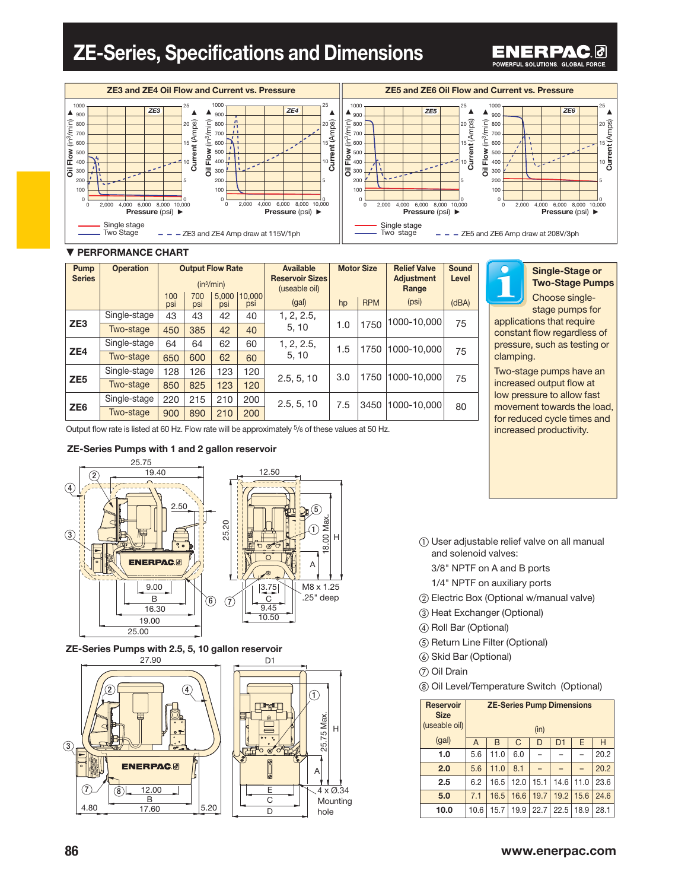## ZE-Series, Specifications and Dimensions

#### ENERPAC 0 POWERFUL SOLUTIONS, GLOBAL FORCE.



| Pump<br><b>Series</b> | <b>Operation</b> |            | <b>Output Flow Rate</b> | $(in^3/min)$ |               | Available<br><b>Reservoir Sizes</b><br>(useable oil) | <b>Motor Size</b> |            |                     |       | <b>Relief Valve</b><br><b>Adjustment</b><br>Range | Sound<br>Level |
|-----------------------|------------------|------------|-------------------------|--------------|---------------|------------------------------------------------------|-------------------|------------|---------------------|-------|---------------------------------------------------|----------------|
|                       |                  | 100<br>psi | 700<br>psi              | 5.000<br>psi | 10,000<br>psi | (gal)                                                | hp                | <b>RPM</b> | (psi)               | (dBA) |                                                   |                |
|                       | Single-stage     | 43         | 43                      | 42           | 40            | 1, 2, 2.5,                                           |                   |            | 1000-10.000         | 75    |                                                   |                |
| ZE <sub>3</sub>       | Two-stage        | 450        | 385                     | 42           | 40            | 5, 10                                                | 1.0               | 1750       |                     |       |                                                   |                |
|                       | Single-stage     | 64         | 64                      | 62           | 60            | 1, 2, 2.5,                                           | 1.5               |            | 1750<br>1000-10.000 | 75    |                                                   |                |
| ZE4                   | Two-stage        | 650        | 600                     | 62           | 60            | 5.10                                                 |                   |            |                     |       |                                                   |                |
|                       | Single-stage     | 128        | 126                     | 123          | 120           |                                                      | 3.0               | 1750       | 1000-10,000         |       |                                                   |                |
| ZE <sub>5</sub>       | Two-stage        | 850        | 825                     | 123          | 120           | 2.5, 5, 10                                           |                   |            |                     | 75    |                                                   |                |
|                       | Single-stage     | 220        | 215                     | 210          | 200           | 2.5, 5, 10                                           | 7.5               | 3450       | 1000-10.000         |       |                                                   |                |
| ZE <sub>6</sub>       | Two-stage        | 900        | 890                     | 210          | 200           |                                                      |                   |            | 80                  |       |                                                   |                |

Single-Stage or Two-Stage Pumps Choose single-

stage pumps for applications that require constant flow regardless of pressure, such as testing or clamping.

Two-stage pumps have an increased output flow at low pressure to allow fast movement towards the load, for reduced cycle times and increased productivity.

Output flow rate is listed at 60 Hz. Flow rate will be approximately 5/6 of these values at 50 Hz.

#### ZE-Series Pumps with 1 and 2 gallon reservoir



### ZE-Series Pumps with 2.5, 5, 10 gallon reservoir





- ① User adjustable relief valve on all manual and solenoid valves:
	- 3/8" NPTF on A and B ports
	- 1/4" NPTF on auxiliary ports
- ② Electric Box (Optional w/manual valve)
- ③ Heat Exchanger (Optional)
- ④ Roll Bar (Optional)
- ⑤ Return Line Filter (Optional)
- ⑥ Skid Bar (Optional)
- ⑦ Oil Drain
- ⑧ Oil Level/Temperature Switch (Optional)

| <b>Reservoir</b><br><b>Size</b><br>(useable oil) |                | <b>ZE-Series Pump Dimensions</b><br>(in) |      |      |      |      |      |  |  |  |  |
|--------------------------------------------------|----------------|------------------------------------------|------|------|------|------|------|--|--|--|--|
| (gal)                                            | $\overline{A}$ | B                                        | C    | D    | D1   | E    | Н    |  |  |  |  |
| 1.0                                              | 5.6            | 11.0                                     | 6.0  |      |      |      | 20.2 |  |  |  |  |
| 2.0                                              | 5.6            | 11.0                                     | 8.1  |      |      |      | 20.2 |  |  |  |  |
| 2.5                                              | 6.2            | 16.5                                     | 12.0 | 15.1 | 14.6 | 11.0 | 23.6 |  |  |  |  |
| 5.0                                              | 7.1            | 16.5                                     | 16.6 | 19.7 | 19.2 | 15.6 | 24.6 |  |  |  |  |
| 10.0                                             | 10.6           | 15.7                                     | 19.9 | 22.7 | 22.5 | 18.9 | 28.1 |  |  |  |  |

### **86** www.enerpac.com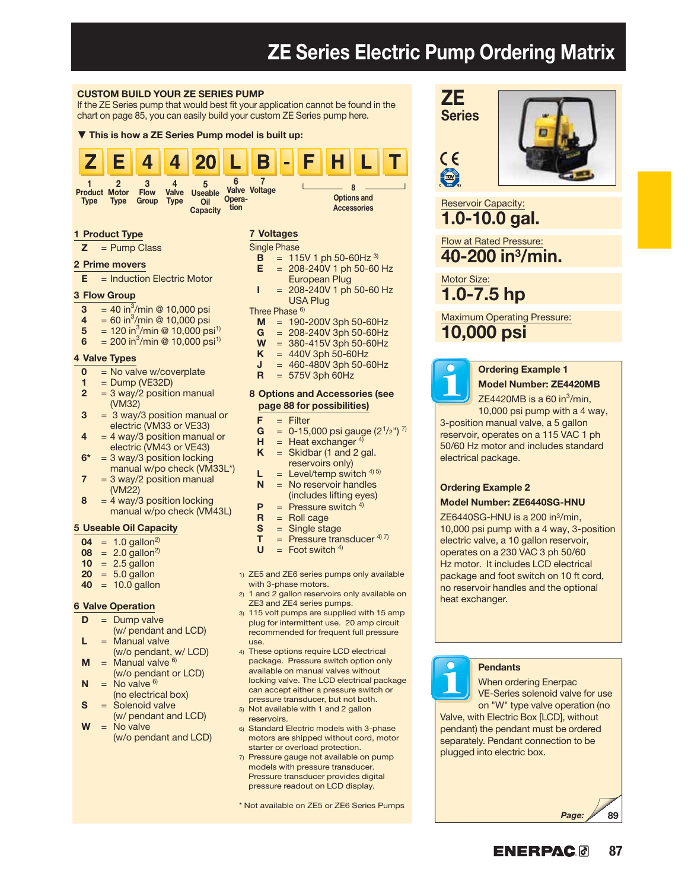## ZE Series Electric Pump Ordering Matrix

CE

 $\mathbf{L}$ 

#### CUSTOM BUILD YOUR ZE SERIES PUMP

If the ZE Series pump that would best fit your application cannot be found in the chart on page 85, you can easily build your custom ZE Series pump here.

#### ▼ This is how a ZE Series Pump model is built up:



#### 1 Product Type

 $Z =$  Pump Class

#### 2 Prime movers

 $E =$  Induction Electric Motor

#### 3 Flow Group

- **3** = 40 in<sup>3</sup>/min @ 10,000 psi
- 4 = 60 in<sup>3</sup>/min @ 10,000 psi
- 5 = 120 in<sup>3</sup>/min @ 10,000 psi<sup>1)</sup>
- 6 = 200 in<sup>3</sup>/min @ 10,000 psi<sup>1)</sup>

#### 4 Valve Types

- $0 = No$  valve w/coverplate<br> $1 = Dumn (VF32D)$
- 1 = Dump (VE32D)<br>2 =  $3 \text{ wav}/2 \text{ positive}$
- $= 3$  way/2 position manual  $(WM32)$ <br>3 = 3 way
- $= 3$  way/3 position manual or electric (VM33 or VE33)
- $4 = 4$  way/3 position manual or electric (VM43 or VE43)
- $6* = 3$  way/3 position locking manual w/po check (VM33L\*)
- $7 = 3$  way/2 position manual (VM22)
- $8 = 4$  way/3 position locking manual w/po check (VM43L)

#### 5 Useable Oil Capacity

- $04 = 1.0$  gallon<sup>2)</sup>
- $08 = 2.0$  gallon<sup>2)</sup>
- $10 = 2.5$  gallon
- $20 = 5.0$  gallon
- $40 = 10.0$  gallon

#### 6 Valve Operation

- $D =$  Dump valve
- (w/ pendant and LCD)  $L =$  Manual valve
- (w/o pendant, w/ LCD)<br> $M =$ Manual valve <sup>6)</sup>  $=$  Manual valve  $6$ )
- $(W/\text{o}$  pendant or LCD)<br>  $N = No value^{6}$  $=$  No valve  $6$
- $\textbf{S} = \text{Solenoid value}$  $=$  Solenoid valve
- (w/ pendant and LCD)
- $W = No value$ (w/o pendant and LCD)
- $E = 208-240V$  1 ph 50-60 Hz European Plug<br> $I = 208-240V1$  ph
- $= 208 240V$  1 ph 50-60 Hz USA Plug

 $= 115V 1$  ph 50-60Hz  $3)$ 

Three Phase <sup>6)</sup>

7 Voltages Single Phase<br> $\mathbf{B} = 11!$ 

- $M = 190-200V$  3ph 50-60Hz<br> $G = 208-240V$  3ph 50-60Hz
- $G = 208-240V$  3ph 50-60Hz<br> $W = 380-415V$  3ph 50-60Hz
- $W = 380 415V$  3ph 50-60Hz<br> $K = 440V$  3ph 50-60Hz
- $K = 440V$  3ph 50-60Hz<br> $J = 460-480V$  3ph 50-6
- $= 460 480V$  3ph 50-60Hz
- $R = 575V$  3ph 60Hz

#### 8 Options and Accessories (see page 88 for possibilities)

- $F =$  Filter
- **G** = 0-15,000 psi gauge  $(2^{1/2})^{7}$
- **H** = Heat exchanger <sup>4)</sup><br>**K** = Skidbar (1 and 2 g
- $=$  Skidbar (1 and 2 gal.
- reservoirs only)<br>L = Level/temp switch
- $\mathsf{L}$  = Level/temp switch <sup>4) 5)</sup><br> $\mathsf{N}$  = No reservoir handles  $=$  No reservoir handles (includes lifting eyes)
	-
- $P =$  Pressure switch 4)<br> $P =$  Roll cage
- $R =$  Roll cage<br> $S =$  Single sta  $=$  Single stage
- 
- **T** = Pressure transducer  $4^{(7)}$ <br>**U** = Foot switch  $4^{(1)}$  $=$  Foot switch  $4$ )
- 1) ZE5 and ZE6 series pumps only available with 3-phase motors.
- 2) 1 and 2 gallon reservoirs only available on ZE3 and ZE4 series pumps.
- 3) 115 volt pumps are supplied with 15 amp plug for intermittent use. 20 amp circuit recommended for frequent full pressure use.
- 4) These options require LCD electrical package. Pressure switch option only available on manual valves without locking valve. The LCD electrical package can accept either a pressure switch or pressure transducer, but not both.
- 5) Not available with 1 and 2 gallon reservoirs.
- 6) Standard Electric models with 3-phase motors are shipped without cord, motor starter or overload protection.
- 7) Pressure gauge not available on pump models with pressure transducer. Pressure transducer provides digital pressure readout on LCD display.

\* Not available on ZE5 or ZE6 Series Pumps





Reservoir Capacity: 1.0-10.0 gal.

Flow at Rated Pressure: 40-200 in3/min.

Motor Size:

1.0-7.5 hp

Maximum Operating Pressure:

10,000 psi



### Ordering Example 1 Model Number: ZE4420MB

ZE4420MB is a 60 in $^3$ /min, 10,000 psi pump with a 4 way,

3-position manual valve, a 5 gallon reservoir, operates on a 115 VAC 1 ph 50/60 Hz motor and includes standard electrical package.

## Ordering Example 2

#### Model Number: ZE6440SG-HNU

ZE6440SG-HNU is a 200 in3/min, 10,000 psi pump with a 4 way, 3-position electric valve, a 10 gallon reservoir, operates on a 230 VAC 3 ph 50/60 Hz motor. It includes LCD electrical package and foot switch on 10 ft cord, no reservoir handles and the optional heat exchanger.

**Pendants** 

When ordering Enerpac VE-Series solenoid valve for use on "W" type valve operation (no

Valve, with Electric Box [LCD], without pendant) the pendant must be ordered separately. Pendant connection to be plugged into electric box.

Page:

89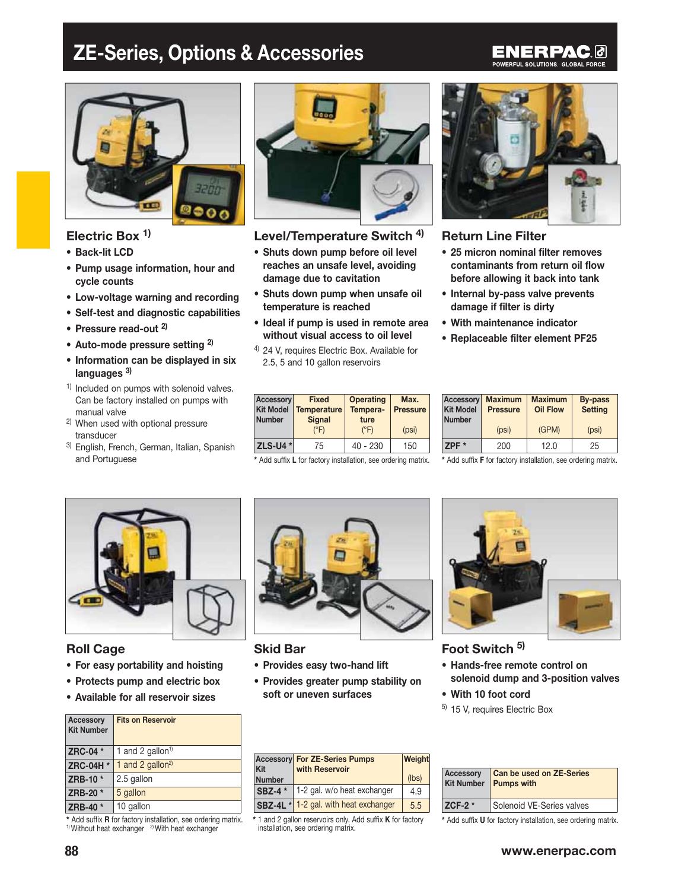## ZE-Series, Options & Accessories

### ENERPAC0 POWERFUL SOLUTIONS. GLOBAL FORCE.



## Electric Box<sup>1)</sup>

- Back-lit LCD
- Pump usage information, hour and cycle counts
- Low-voltage warning and recording
- $\bullet\,$  Self-test and diagnostic capabilities
- Pressure read-out <sup>2)</sup>
- Auto-mode pressure setting <sup>2)</sup>
- Information can be displayed in six languages<sup>3)</sup>
- $<sup>1</sup>$  Included on pumps with solenoid valves.</sup> Can be factory installed on pumps with manual valve
- 2) When used with optional pressure transducer
- 3) English, French, German, Italian, Spanish and Portuguese



## Level/Temperature Switch<sup>4)</sup>

- Shuts down pump before oil level reaches an unsafe level, avoiding damage due to cavitation
- Shuts down pump when unsafe oil temperature is reached
- $\bullet$  Ideal if pump is used in remote area without visual access to oil level
- 4) 24 V, requires Electric Box. Available for 2.5, 5 and 10 gallon reservoirs

| Accessory<br><b>Kit Model</b><br><b>Number</b> | <b>Fixed</b><br><b>Temperature</b><br><b>Signal</b><br>$(^{\circ}F)$ | <b>Operating</b><br>Tempera-<br>ture<br>$(^{\circ}F)$ | Max.<br><b>Pressure</b><br>(psi) | Access<br><b>Kit Mo</b><br><b>Numbe</b> |
|------------------------------------------------|----------------------------------------------------------------------|-------------------------------------------------------|----------------------------------|-----------------------------------------|
| <b>ZLS-U4 *</b>                                | 75                                                                   | $40 - 230$                                            | 150                              | ZPF *                                   |

\* Add suffix L for factory installation, see ordering matrix.



## Return Line Filter

- 25 micron nominal filter removes contaminants from return oil flow before allowing it back into tank
- Internal by-pass valve prevents damage if filter is dirty
- With maintenance indicator
- Replaceable filter element PF25

| ixed<br>erature<br>gnal | <b>Operating</b><br>Tempera-<br>ture | Max.<br><b>Pressure</b> | <b>Kit Model</b><br><b>Number</b> | <b>Accessory</b> Maximum<br><b>Pressure</b> | <b>Maximum</b><br><b>Oil Flow</b> | By-pass<br><b>Setting</b> |
|-------------------------|--------------------------------------|-------------------------|-----------------------------------|---------------------------------------------|-----------------------------------|---------------------------|
| ®F)                     | $(^{\circ}F)$                        | (psi)                   |                                   | (psi)                                       | (GPM)                             | (psi)                     |
| 75                      | $40 - 230$                           | 150                     | $ZPF^*$                           | 200                                         | 12.0                              | 25                        |

\* Add suffix F for factory installation, see ordering matrix.



## Roll Cage

- For easy portability and hoisting
- Protects pump and electric box
- Available for all reservoir sizes

| <b>Accessory</b><br><b>Kit Number</b> | <b>Fits on Reservoir</b>     |
|---------------------------------------|------------------------------|
| ZRC-04 *                              | 1 and 2 gallon <sup>1)</sup> |
| ZRC-04H *                             | 1 and 2 gallon <sup>2)</sup> |
| ZRB-10 *                              | 2.5 gallon                   |
| ZRB-20 *                              | 5 gallon                     |
| ZRB-40 *                              | 10 gallon                    |

\* Add suffix R for factory installation, see ordering matrix. 1) Without heat exchanger <sup>2)</sup> With heat exchanger



### Skid Bar

- Provides easy two-hand lift
- Provides greater pump stability on soft or uneven surfaces



### Foot Switch<sup>5)</sup>

- Hands-free remote control on solenoid dump and 3-position valves
- With 10 foot cord
- 5) 15 V, requires Electric Box

| Kit<br><b>Number</b> | <b>Accessory For ZE-Series Pumps</b><br>with Reservoir | Weight<br>(lbs) | <b>Accesso</b><br><b>Kit Numl</b> |
|----------------------|--------------------------------------------------------|-----------------|-----------------------------------|
| <b>SBZ-4</b> *       | 1-2 gal. w/o heat exchanger                            | 4.9             |                                   |
|                      | SBZ-4L * 1-2 gal. with heat exchanger                  | 5.5             | $ZCF-2$                           |

<sup>\* 1</sup> and 2 gallon reservoirs only. Add suffix **K** for factory installation, see ordering matrix.

| <b>Accessory</b> | Can be used on ZE-Series<br>Kit Number Pumps with |
|------------------|---------------------------------------------------|
| ZCF-2 $*$        | Solenoid VE-Series valves                         |

\* Add suffix U for factory installation, see ordering matrix.